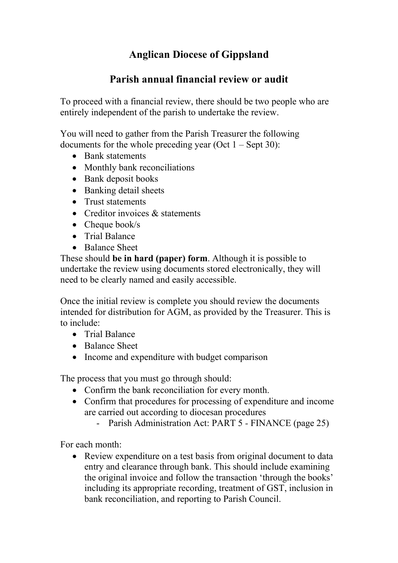## **Anglican Diocese of Gippsland**

## **Parish annual financial review or audit**

To proceed with a financial review, there should be two people who are entirely independent of the parish to undertake the review.

You will need to gather from the Parish Treasurer the following documents for the whole preceding year (Oct  $1 -$  Sept 30):

- Bank statements
- Monthly bank reconciliations
- Bank deposit books
- Banking detail sheets
- Trust statements
- Creditor invoices & statements
- Cheque book/s
- Trial Balance
- Balance Sheet

These should **be in hard (paper) form**. Although it is possible to undertake the review using documents stored electronically, they will need to be clearly named and easily accessible.

Once the initial review is complete you should review the documents intended for distribution for AGM, as provided by the Treasurer. This is to include:

- Trial Balance
- Balance Sheet
- Income and expenditure with budget comparison

The process that you must go through should:

- Confirm the bank reconciliation for every month.
- Confirm that procedures for processing of expenditure and income are carried out according to diocesan procedures
	- Parish Administration Act: PART 5 *-* FINANCE (page 25)

For each month:

• Review expenditure on a test basis from original document to data entry and clearance through bank. This should include examining the original invoice and follow the transaction 'through the books' including its appropriate recording, treatment of GST, inclusion in bank reconciliation, and reporting to Parish Council.